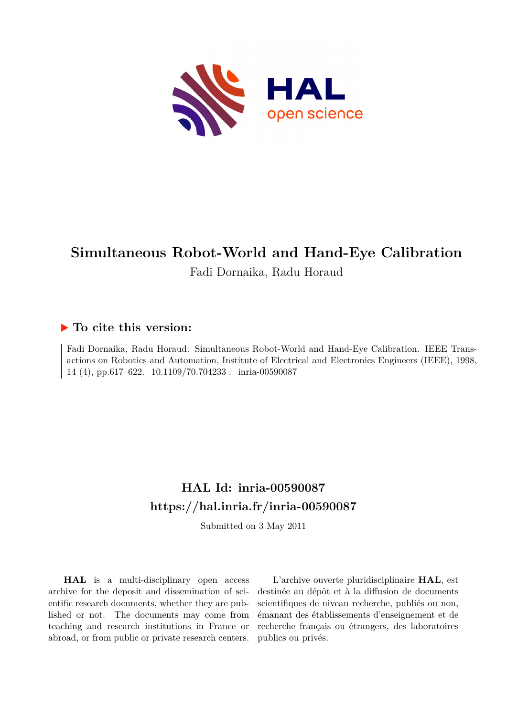

# **Simultaneous Robot-World and Hand-Eye Calibration**

Fadi Dornaika, Radu Horaud

### **To cite this version:**

Fadi Dornaika, Radu Horaud. Simultaneous Robot-World and Hand-Eye Calibration. IEEE Transactions on Robotics and Automation, Institute of Electrical and Electronics Engineers (IEEE), 1998, 14 (4), pp.617–622. 10.1109/70.704233. inria-00590087

## **HAL Id: inria-00590087 <https://hal.inria.fr/inria-00590087>**

Submitted on 3 May 2011

**HAL** is a multi-disciplinary open access archive for the deposit and dissemination of scientific research documents, whether they are published or not. The documents may come from teaching and research institutions in France or abroad, or from public or private research centers.

L'archive ouverte pluridisciplinaire **HAL**, est destinée au dépôt et à la diffusion de documents scientifiques de niveau recherche, publiés ou non, émanant des établissements d'enseignement et de recherche français ou étrangers, des laboratoires publics ou privés.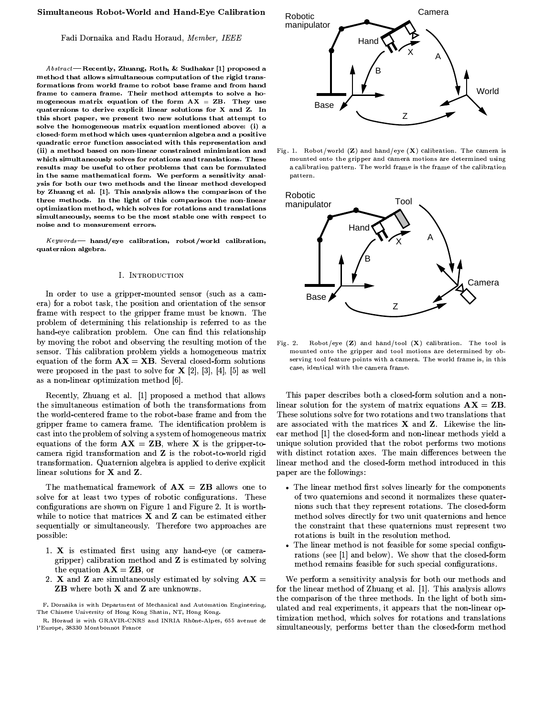#### Simultaneous Robot-World and Hand-Eye Calibration

#### Fadi Dornaika and Radu Horaud, Member, IEEE

Abstract-Recently, Zhuang, Roth, & Sudhakar [1] proposed a method that allows simultaneous computation of the rigid transformations from world frame to robot base frame and from hand frame to camera frame. Their method attempts to solve a homogeneous matrix equation of the form  $AX = ZB$ . They use quaternions to derive explicit linear solutions for X and Z. In this short paper, we present two new solutions that attempt to solve the homogeneous matrix equation mentioned above: (i) a closed-form method which uses quaternion algebra and a positive quadratic error function associated with this representation and (ii) a method based on non-linear constrained minimization and which simultaneously solves for rotations and translations. These results may be useful to other problems that can be formulated in the same mathematical form. We perform a sensitivity analysis for both our two methods and the linear method developed by Zhuang et al. [1]. This analysis allows the comparison of the three methods. In the light of this comparison the non-linear optimization method, which solves for rotations and translations simultaneously, seems to be the most stable one with respect to noise and to measurement errors.

 $Keywords$  hand/eye calibration, robot/world calibration, quaternion algebra.

#### I. INTRODUCTION

In order to use a gripper-mounted sensor (such as a camera) for a robot task, the position and orientation of the sensor frame with respect to the gripper frame must be known. The problem of determining this relationship is referred to as the hand-eye calibration problem. One can find this relationship by moving the robot and observing the resulting motion of the sensor. This calibration problem yields a homogeneous matrix equation of the form  $AX = XB$ . Several closed-form solutions were proposed in the past to solve for  $X$  [2], [3], [4], [5] as well as a non-linear optimization method [6].

Recently, Zhuang et al. [1] proposed a method that allows the simultaneous estimation of both the transformations from the world-centered frame to the robot-base frame and from the gripper frame to camera frame. The identification problem is cast into the problem of solving a system of homogeneous matrix equations of the form  $AX = ZB$ , where X is the gripper-tocamera rigid transformation and Z is the robot-to-world rigid transformation. Quaternion algebra is applied to derive explicit linear solutions for X and Z.

The mathematical framework of  $AX = ZB$  allows one to solve for at least two types of robotic configurations. These configurations are shown on Figure 1 and Figure 2. It is worthwhile to notice that matrices  $X$  and  $Z$  can be estimated either sequentially or simultaneously. Therefore two approaches are possible:

- 1. X is estimated first using any hand-eye (or cameragripper) calibration method and Z is estimated by solving the equation  $AX = ZB$ , or
- 2. X and Z are simultaneously estimated by solving  $AX =$ **ZB** where both **X** and **Z** are unknowns.

F. Dornaika is with Department of Mechanical and Automation Engineering, The Chinese University of Hong Kong Shatin, NT, Hong Kong.



Fig. 1. Robot/world  $(\mathbf{Z})$  and hand/eye  $(\mathbf{X})$  calibration. The camera is mounted onto the gripper and camera motions are determined using a calibration pattern. The world frame is the frame of the calibration pattern.



Robot/eye  $(Z)$  and hand/tool  $(X)$  calibration. The tool is Fig.  $2.$ mounted onto the gripper and tool motions are determined by observing tool feature points with a camera. The world frame is, in this case, identical with the camera frame.

This paper describes both a closed-form solution and a nonlinear solution for the system of matrix equations  $AX = ZB$ . These solutions solve for two rotations and two translations that are associated with the matrices  $X$  and  $Z$ . Likewise the linear method [1] the closed-form and non-linear methods yield a unique solution provided that the robot performs two motions with distinct rotation axes. The main differences between the linear method and the closed-form method introduced in this paper are the followings:

- The linear method first solves linearly for the components of two quaternions and second it normalizes these quaternions such that they represent rotations. The closed-form method solves directly for two unit quaternions and hence the constraint that these quaternions must represent two rotations is built in the resolution method.
- The linear method is not feasible for some special configurations (see [1] and below). We show that the closed-form method remains feasible for such special configurations.

We perform a sensitivity analysis for both our methods and for the linear method of Zhuang et al. [1]. This analysis allows the comparison of the three methods. In the light of both simulated and real experiments, it appears that the non-linear optimization method, which solves for rotations and translations simultaneously, performs better than the closed-form method

R. Horaud is with GRAVIR-CNRS and INRIA Rhône-Alpes, 655 avenue de l'Europe, 38330 Montbonnot France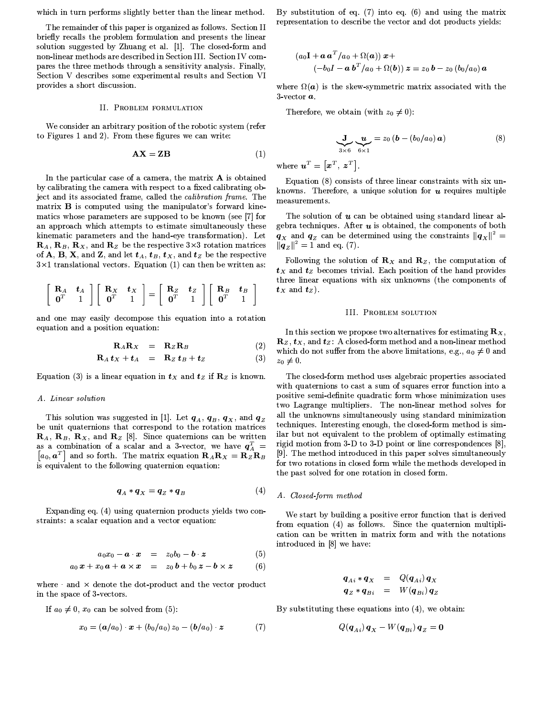which in turn performs slightly better than the linear method.

The remainder of this paper is organized as follows. Section II briefly recalls the problem formulation and presents the linear solution suggested by Zhuang et al. [1]. The closed-form and non-linear methods are described in Section III. Section IV compares the three methods through a sensitivity analysis. Finally, Section V describes some experimental results and Section VI provides a short discussion.

#### **II. PROBLEM FORMULATION**

We consider an arbitrary position of the robotic system (refer to Figures 1 and 2). From these figures we can write:

$$
\mathbf{A}\mathbf{X} = \mathbf{Z}\mathbf{B} \tag{1}
$$

In the particular case of a camera, the matrix A is obtained by calibrating the camera with respect to a fixed calibrating object and its associated frame, called the *calibration frame*. The matrix **B** is computed using the manipulator's forward kinematics whose parameters are supposed to be known (see [7] for an approach which attempts to estimate simultaneously these kinematic parameters and the hand-eye transformation). Let  $\mathbf{R}_A$ ,  $\mathbf{R}_B$ ,  $\mathbf{R}_X$ , and  $\mathbf{R}_Z$  be the respective 3×3 rotation matrices of A, B, X, and Z, and let  $t_A$ ,  $t_B$ ,  $t_X$ , and  $t_Z$  be the respective  $3\times1$  translational vectors. Equation (1) can then be written as:

$$
\left[\begin{array}{cc} \mathbf{R}_A & \mathbf{t}_A \\ \mathbf{0}^T & 1 \end{array}\right] \left[\begin{array}{cc} \mathbf{R}_X & \mathbf{t}_X \\ \mathbf{0}^T & 1 \end{array}\right] = \left[\begin{array}{cc} \mathbf{R}_Z & \mathbf{t}_Z \\ \mathbf{0}^T & 1 \end{array}\right] \left[\begin{array}{cc} \mathbf{R}_B & \mathbf{t}_B \\ \mathbf{0}^T & 1 \end{array}\right]
$$

and one may easily decompose this equation into a rotation equation and a position equation:

$$
\mathbf{R}_A \mathbf{R}_X = \mathbf{R}_Z \mathbf{R}_B \tag{2}
$$

$$
\mathbf{R}_A \, \boldsymbol{t}_X + \boldsymbol{t}_A = \mathbf{R}_Z \, \boldsymbol{t}_B + \boldsymbol{t}_Z \tag{3}
$$

Equation (3) is a linear equation in  $t_x$  and  $t_z$  if  $\mathbb{R}_z$  is known.

#### A. Linear solution

This solution was suggested in [1]. Let  $\bm{q}_{A},\;\bm{q}_{B},\;\bm{q}_{X},$  and  $\bm{q}_{Z}$ be unit quaternions that correspond to the rotation matrices  $\mathbf{R}_A$ ,  $\mathbf{R}_B$ ,  $\mathbf{R}_X$ , and  $\mathbf{R}_Z$  [8]. Since quaternions can be written as a combination of a scalar and a 3-vector, we have  $q_A^T$  =  $[a_0, a^T]$  and so forth. The matrix equation  $\mathbf{R}_A \mathbf{R}_X = \mathbf{R}_Z \mathbf{R}_B$ is equivalent to the following quaternion equation:

$$
\boldsymbol{q}_A * \boldsymbol{q}_X = \boldsymbol{q}_Z * \boldsymbol{q}_B \tag{4}
$$

Expanding eq. (4) using quaternion products yields two constraints: a scalar equation and a vector equation:

$$
a_0x_0 - \boldsymbol{a} \cdot \boldsymbol{x} = z_0b_0 - \boldsymbol{b} \cdot \boldsymbol{z} \tag{5}
$$

$$
a_0\,\boldsymbol{x}+x_0\,\boldsymbol{a}+\boldsymbol{a}\times\boldsymbol{x} = x_0\,\boldsymbol{b}+b_0\,\boldsymbol{z}-\boldsymbol{b}\times\boldsymbol{z} \qquad (6)
$$

where and  $\times$  denote the dot-product and the vector product in the space of 3-vectors.

If  $a_0 \neq 0$ ,  $x_0$  can be solved from (5):

$$
x_0 = (a/a_0) \cdot x + (b_0/a_0) z_0 - (b/a_0) z \tag{7}
$$

By substitution of eq.  $(7)$  into eq.  $(6)$  and using the matrix representation to describe the vector and dot products yields:

$$
(a_0\mathbf{I} + \mathbf{a}\mathbf{a}^T/a_0 + \Omega(\mathbf{a}))\mathbf{x} +(-b_0\mathbf{I} - \mathbf{a}\mathbf{b}^T/a_0 + \Omega(\mathbf{b}))\mathbf{z} = z_0\mathbf{b} - z_0(b_0/a_0)\mathbf{a}
$$

where  $\Omega(a)$  is the skew-symmetric matrix associated with the  $3$  vector  $a$ .

Therefore, we obtain (with  $z_0 \neq 0$ ):

$$
\underbrace{\mathbf{J}}_{3\times6} \underbrace{\mathbf{u}}_{6\times1} = z_0 \left( \mathbf{b} - (b_0/a_0) \, \mathbf{a} \right) \tag{8}
$$

where  $\mathbf{u}^T = [\mathbf{x}^T, \ \mathbf{z}^T]$ .

Equation (8) consists of three linear constraints with six unknowns. Therefore, a unique solution for  $u$  requires multiple measurements.

The solution of  $u$  can be obtained using standard linear algebra techniques. After  $u$  is obtained, the components of both  $\mathbf{q}_x$  and  $\mathbf{q}_z$  can be determined using the constraints  $\|\mathbf{q}_x\|^2 =$  $||q_z||^2 = 1$  and eq. (7).

Following the solution of  $\mathbf{R}_X$  and  $\mathbf{R}_Z$ , the computation of  $t_X$  and  $t_Z$  becomes trivial. Each position of the hand provides three linear equations with six unknowns (the components of  $t_X$  and  $t_Z$ ).

#### **III. PROBLEM SOLUTION**

In this section we propose two alternatives for estimating  $\mathbf{R}_X$ ,  $\mathbf{R}_z, \mathbf{t}_x$ , and  $\mathbf{t}_z$ : A closed-form method and a non-linear method which do not suffer from the above limitations, e.g.,  $a_0 \neq 0$  and  $z_0\neq 0$ .

The closed-form method uses algebraic properties associated with quaternions to cast a sum of squares error function into a positive semi-definite quadratic form whose minimization uses two Lagrange multipliers. The non-linear method solves for all the unknowns simultaneously using standard minimization techniques. Interesting enough, the closed-form method is similar but not equivalent to the problem of optimally estimating rigid motion from 3-D to 3-D point or line correspondences [8]. [9]. The method introduced in this paper solves simultaneously for two rotations in closed form while the methods developed in the past solved for one rotation in closed form.

#### A. Closed-form method

We start by building a positive error function that is derived from equation (4) as follows. Since the quaternion multiplication can be written in matrix form and with the notations introduced in [8] we have:

$$
q_{Ai} * q_X = Q(q_{Ai}) q_X
$$
  
\n
$$
q_Z * q_{Bi} = W(q_{Bi}) q_Z
$$

By substituting these equations into  $(4)$ , we obtain:

$$
Q(\boldsymbol{q}_{Ai})\,\boldsymbol{q}_X-W(\boldsymbol{q}_{Bi})\,\boldsymbol{q}_Z=\boldsymbol{0}
$$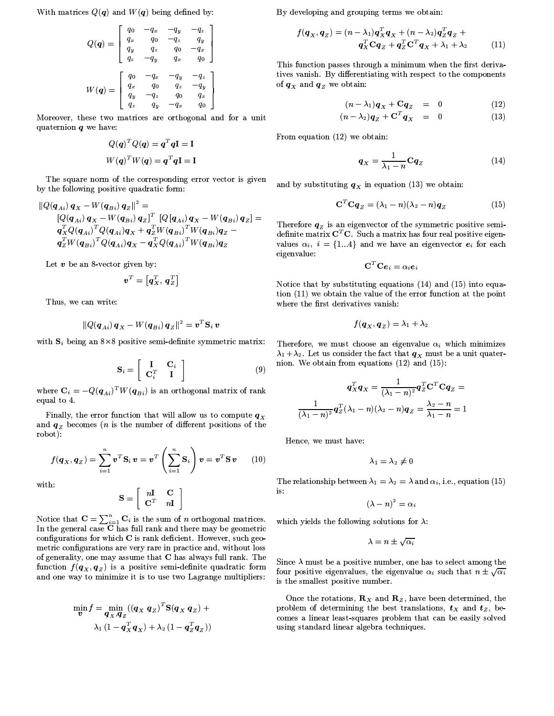With matrices  $Q(q)$  and  $W(q)$  being defined by:

$$
Q(\boldsymbol{q}) = \begin{bmatrix} q_0 & -q_x & -q_y & -q_z \\ q_x & q_0 & -q_z & q_y \\ q_y & q_z & q_0 & -q_x \\ q_z & -q_y & q_x & q_0 \end{bmatrix}
$$

$$
W(\boldsymbol{q}) = \begin{bmatrix} q_0 & -q_x & -q_y & -q_z \\ q_x & q_0 & q_z & -q_y \\ q_y & -q_z & q_0 & q_x \\ q_z & q_y & -q_x & q_0 \end{bmatrix}
$$

Moreover, these two matrices are orthogonal and for a unit quaternion  $q$  we have:

$$
Q(q)^{T} Q(q) = q^{T} qI = I
$$

$$
W(q)^{T} W(q) = q^{T} qI = I
$$

The square norm of the corresponding error vector is given by the following positive quadratic form:

$$
\|Q(q_{Ai}) q_{X} - W(q_{Bi}) q_{Z}\|^{2} =
$$
\n
$$
[Q(q_{Ai}) q_{X} - W(q_{Bi}) q_{Z}]^{T} [Q(q_{Ai}) q_{X} - W(q_{Bi}) q_{Z}] =
$$
\n
$$
q_{X}^{T} Q(q_{Ai})^{T} Q(q_{Ai}) q_{X} + q_{Z}^{T} W(q_{Bi})^{T} W(q_{Bi}) q_{Z} -
$$
\n
$$
q_{Z}^{T} W(q_{Bi})^{T} Q(q_{Ai}) q_{X} - q_{X}^{T} Q(q_{Ai})^{T} W(q_{Bi}) q_{Z}
$$

Let  $v$  be an 8-vector given by:

$$
\pmb{v}^T = \left[ \pmb{q}^T_{\scriptscriptstyle X}, \; \pmb{q}^T_{\scriptscriptstyle Z} \right]
$$

Thus, we can write:

$$
\|Q(\boldsymbol{q}_{A\,i})\,\boldsymbol{q}_X - W(\boldsymbol{q}_{B\,i})\,\boldsymbol{q}_Z\|^2 = \boldsymbol{v}^T\mathbf{S}_i\,\boldsymbol{v}
$$

with  $S_i$  being an 8×8 positive semi-definite symmetric matrix:

$$
\mathbf{S}_{i} = \left[ \begin{array}{cc} \mathbf{I} & \mathbf{C}_{i} \\ \mathbf{C}_{i}^{T} & \mathbf{I} \end{array} \right] \tag{9}
$$

where  $\mathbf{C}_i = -Q(\boldsymbol{q}_{Ai})^T W(\boldsymbol{q}_{Bi})$  is an orthogonal matrix of rank equal to 4.

Finally, the error function that will allow us to compute  $\boldsymbol{q}_X$ and  $q_z$  becomes (*n* is the number of different positions of the robot):

$$
f(\boldsymbol{q}_X, \boldsymbol{q}_Z) = \sum_{i=1}^n \boldsymbol{v}^T \mathbf{S}_i \,\boldsymbol{v} = \boldsymbol{v}^T \left( \sum_{i=1}^n \mathbf{S}_i \right) \boldsymbol{v} = \boldsymbol{v}^T \mathbf{S} \,\boldsymbol{v} \qquad (10)
$$

with:

$$
\mathbf{S} = \left[ \begin{array}{cc} n\mathbf{I} & \mathbf{C} \\ \mathbf{C}^T & n\mathbf{I} \end{array} \right]
$$

Notice that  $\mathbf{C} = \sum_{i=1}^{n} \mathbf{C}_i$  is the sum of *n* orthogonal matrices.<br>In the general case **C** has full rank and there may be geometric configurations for which C is rank deficient. However, such geometric configurations are very rare in practice and, without loss of generality, one may assume that C has always full rank. The function  $f(\boldsymbol{q}_X, \boldsymbol{q}_Z)$  is a positive semi-definite quadratic form and one way to minimize it is to use two Lagrange multipliers:

$$
\min_{\boldsymbol{v}} f = \min_{\boldsymbol{q}_X, \boldsymbol{q}_Z} ((\boldsymbol{q}_X \ \boldsymbol{q}_Z)^T \mathbf{S} (\boldsymbol{q}_X \ \boldsymbol{q}_Z) + \\ \lambda_1 (1 - \boldsymbol{q}_X^T \boldsymbol{q}_X) + \lambda_2 (1 - \boldsymbol{q}_Z^T \boldsymbol{q}_Z))
$$

By developing and grouping terms we obtain:

$$
f(\boldsymbol{q}_X, \boldsymbol{q}_Z) = (n - \lambda_1) \boldsymbol{q}_X^T \boldsymbol{q}_X + (n - \lambda_2) \boldsymbol{q}_Z^T \boldsymbol{q}_Z + \boldsymbol{q}_X^T \mathbf{C} \boldsymbol{q}_Z + \boldsymbol{q}_Z^T \mathbf{C}^T \boldsymbol{q}_X + \lambda_1 + \lambda_2
$$
(11)

This function passes through a minimum when the first derivatives vanish. By differentiating with respect to the components of  $q_X$  and  $q_Z$  we obtain:

$$
(n - \lambda_1)\boldsymbol{q}_X + \mathbf{C}\boldsymbol{q}_Z = 0 \qquad (12)
$$

$$
(n - \lambda_2)\boldsymbol{q}_Z + \mathbf{C}^T\boldsymbol{q}_X = 0 \qquad (13)
$$

From equation  $(12)$  we obtain:

$$
\boldsymbol{q}_X = \frac{1}{\lambda_1 - n} \mathbf{C} \boldsymbol{q}_Z \tag{14}
$$

and by substituting  $q_X$  in equation (13) we obtain:

$$
\mathbf{C}^T \mathbf{C} \mathbf{q}_Z = (\lambda_1 - n)(\lambda_2 - n)\mathbf{q}_Z \tag{15}
$$

Therefore  $q_z$  is an eigenvector of the symmetric positive semidefinite matrix  $C<sup>T</sup>C$ . Such a matrix has four real positive eigenvalues  $\alpha_i$ ,  $i = \{1...4\}$  and we have an eigenvector  $e_i$  for each eigenvalue:

$$
\textbf{C}^T\textbf{C}\bm{e}_i=\alpha_i\bm{e}_i
$$

Notice that by substituting equations  $(14)$  and  $(15)$  into equation (11) we obtain the value of the error function at the point where the first derivatives vanish:

$$
f(\boldsymbol{q}_X,\boldsymbol{q}_Z)=\lambda_1+\lambda_2
$$

Therefore, we must choose an eigenvalue  $\alpha_i$  which minimizes  $\lambda_1 + \lambda_2$ . Let us consider the fact that  $q_X$  must be a unit quaternion. We obtain from equations  $(12)$  and  $(15)$ :

$$
q_X^T q_X = \frac{1}{(\lambda_1 - n)^2} q_Z^T \mathbf{C}^T \mathbf{C} q_Z = \frac{1}{(\lambda_1 - n)^2} q_Z^T (\lambda_1 - n) (\lambda_2 - n) q_Z = \frac{\lambda_2 - n}{\lambda_1 - n} = 1
$$

Hence, we must have:

$$
\lambda_1=\lambda_2\neq 0
$$

The relationship between  $\lambda_1 = \lambda_2 = \lambda$  and  $\alpha_i$ , i.e., equation (15) is:

 $(\lambda - n)^2 = \alpha_i$ 

which yields the following solutions for  $\lambda$ :

$$
\lambda = n \pm \sqrt{\alpha_i}
$$

Since  $\lambda$  must be a positive number, one has to select among the four positive eigenvalues, the eigenvalue  $\alpha_i$  such that  $n \pm \sqrt{\alpha_i}$ is the smallest positive number.

Once the rotations,  $\mathbf{R}_x$  and  $\mathbf{R}_z$ , have been determined, the problem of determining the best translations,  $t_x$  and  $t_z$ , becomes a linear least-squares problem that can be easily solved using standard linear algebra techniques.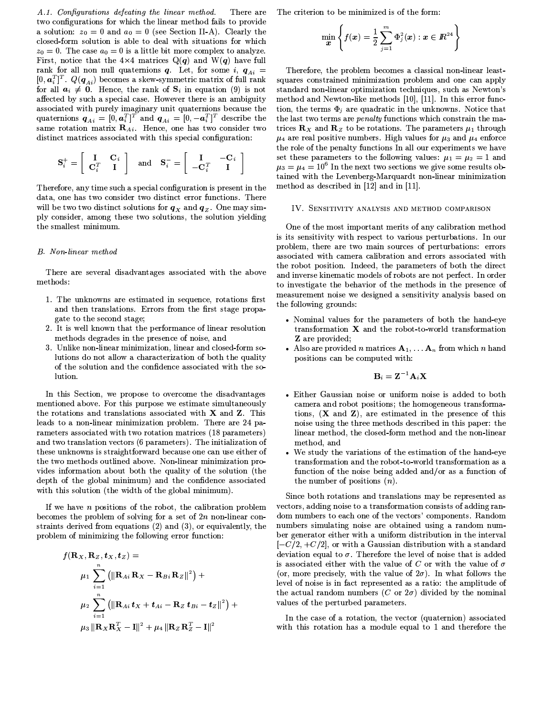A.1. Configurations defeating the linear method. There are two configurations for which the linear method fails to provide a solution:  $z_0 = 0$  and  $a_0 = 0$  (see Section II-A). Clearly the closed-form solution is able to deal with situations for which  $z_0 = 0$ . The case  $a_0 = 0$  is a little bit more complex to analyze. First, notice that the  $4\times4$  matrices  $Q(q)$  and  $W(q)$  have full rank for all non null quaternions q. Let, for some i,  $q_{Ai}$  =  $[0, \boldsymbol{a}_i^T]^T$ .  $Q(\boldsymbol{q}_{Ai})$  becomes a skew-symmetric matrix of full rank for all  $a_i \neq 0$ . Hence, the rank of  $S_i$  in equation (9) is not affected by such a special case. However there is an ambiguity associated with purely imaginary unit quaternions because the quaternions  $q_{Ai} = \begin{bmatrix} 0 & a_i^T \end{bmatrix}^T$  and  $q_{Ai} = \begin{bmatrix} 0 & -a_i^T \end{bmatrix}^T$  describe the same rotation matrix  $\mathbf{R}_{Ai}$ . Hence, one has two consider two distinct matrices associated with this special configuration:

$$
\mathbf{S}_{i}^{+} = \left[ \begin{array}{cc} \mathbf{I} & \mathbf{C}_{i} \\ \mathbf{C}_{i}^{T} & \mathbf{I} \end{array} \right] \quad \text{and} \quad \mathbf{S}_{i}^{-} = \left[ \begin{array}{cc} \mathbf{I} & -\mathbf{C}_{i} \\ -\mathbf{C}_{i}^{T} & \mathbf{I} \end{array} \right]
$$

Therefore, any time such a special configuration is present in the data, one has two consider two distinct error functions. There will be two two distinct solutions for  $q_X$  and  $q_Z$ . One may simply consider, among these two solutions, the solution yielding the smallest minimum.

#### **B.** Non-linear method

There are several disadvantages associated with the above methods:

- 1. The unknowns are estimated in sequence, rotations first and then translations. Errors from the first stage propagate to the second stage;
- 2. It is well known that the performance of linear resolution methods degrades in the presence of noise, and
- 3. Unlike non-linear minimization, linear and closed-form solutions do not allow a characterization of both the quality of the solution and the confidence associated with the solution.

In this Section, we propose to overcome the disadvantages mentioned above. For this purpose we estimate simultaneously the rotations and translations associated with **X** and **Z**. This leads to a non-linear minimization problem. There are 24 parameters associated with two rotation matrices (18 parameters) and two translation vectors (6 parameters). The initialization of these unknowns is straightforward because one can use either of the two methods outlined above. Non-linear minimization provides information about both the quality of the solution (the depth of the global minimum) and the confidence associated with this solution (the width of the global minimum).

If we have  $n$  positions of the robot, the calibration problem becomes the problem of solving for a set of  $2n$  non-linear constraints derived from equations (2) and (3), or equivalently, the problem of minimizing the following error function:

$$
f(\mathbf{R}_X, \mathbf{R}_Z, \mathbf{t}_X, \mathbf{t}_Z) =
$$
  
\n
$$
\mu_1 \sum_{i=1}^n \left( \|\mathbf{R}_{Ai} \mathbf{R}_X - \mathbf{R}_{Bi} \mathbf{R}_Z \|^2 \right) +
$$
  
\n
$$
\mu_2 \sum_{i=1}^n \left( \|\mathbf{R}_{Ai} \mathbf{t}_X + \mathbf{t}_{Ai} - \mathbf{R}_Z \mathbf{t}_{Bi} - \mathbf{t}_Z \|^2 \right) +
$$
  
\n
$$
\mu_3 \|\mathbf{R}_X \mathbf{R}_X^T - \mathbf{I} \|^2 + \mu_4 \|\mathbf{R}_Z \mathbf{R}_Z^T - \mathbf{I} \|^2
$$

The criterion to be minimized is of the form:

$$
\min_{\boldsymbol{x}} \left\{ f(\boldsymbol{x}) = \frac{1}{2} \sum_{j=1}^m \Phi_j^2(\boldsymbol{x}) : \boldsymbol{x} \in I\!\!R^{24} \right\}
$$

Therefore, the problem becomes a classical non-linear leastsquares constrained minimization problem and one can apply standard non-linear optimization techniques, such as Newton's method and Newton-like methods [10], [11]. In this error function, the terms  $\Phi_j$  are quadratic in the unknowns. Notice that the last two terms are *penalty* functions which constrain the matrices  $\mathbf{R}_X$  and  $\mathbf{R}_Z$  to be rotations. The parameters  $\mu_1$  through  $\mu_4$  are real positive numbers. High values for  $\mu_3$  and  $\mu_4$  enforce the role of the penalty functions In all our experiments we have set these parameters to the following values:  $\mu_1 = \mu_2 = 1$  and  $\mu_3 = \mu_4 = 10^6$  In the next two sections we give some results obtained with the Levenberg-Marquardt non-linear minimization method as described in [12] and in [11].

#### IV. SENSITIVITY ANALYSIS AND METHOD COMPARISON

One of the most important merits of any calibration method is its sensitivity with respect to various perturbations. In our problem, there are two main sources of perturbations: errors associated with camera calibration and errors associated with the robot position. Indeed, the parameters of both the direct and inverse kinematic models of robots are not perfect. In order to investigate the behavior of the methods in the presence of measurement noise we designed a sensitivity analysis based on the following grounds:

- Nominal values for the parameters of both the hand-eye transformation X and the robot-to-world transformation Z are provided;
- Also are provided *n* matrices  $A_1, \ldots, A_n$  from which *n* hand positions can be computed with:

$$
\mathbf{B}_i = \mathbf{Z}^{-1} \mathbf{A}_i \mathbf{X}
$$

- Either Gaussian noise or uniform noise is added to both camera and robot positions; the homogeneous transformations,  $(X \text{ and } Z)$ , are estimated in the presence of this noise using the three methods described in this paper: the linear method, the closed-form method and the non-linear method, and
- We study the variations of the estimation of the hand-eye  $\bullet$ transformation and the robot-to-world transformation as a function of the noise being added and/or as a function of the number of positions  $(n)$ .

Since both rotations and translations may be represented as vectors, adding noise to a transformation consists of adding random numbers to each one of the vectors' components. Random numbers simulating noise are obtained using a random number generator either with a uniform distribution in the interval  $[-C/2, +C/2]$ , or with a Gaussian distribution with a standard deviation equal to  $\sigma$ . Therefore the level of noise that is added is associated either with the value of C or with the value of  $\sigma$ (or, more precisely, with the value of  $2\sigma$ ). In what follows the level of noise is in fact represented as a ratio: the amplitude of the actual random numbers (C or  $2\sigma$ ) divided by the nominal values of the perturbed parameters.

In the case of a rotation, the vector (quaternion) associated with this rotation has a module equal to 1 and therefore the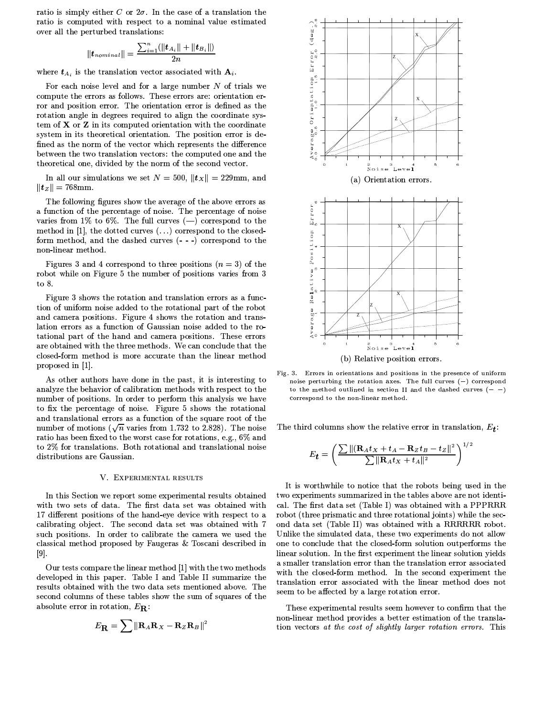ratio is simply either C or  $2\sigma$ . In the case of a translation the ratio is computed with respect to a nominal value estimated over all the perturbed translations:

$$
\|\bm{t}_{nominal}\| = \frac{\sum_{i=1}^{n} (\|\bm{t}_{A_i}\| + \|\bm{t}_{B_i}\|)}{2n}
$$

where  $t_{A_i}$  is the translation vector associated with  $A_i$ .

For each noise level and for a large number  $N$  of trials we compute the errors as follows. These errors are: orientation error and position error. The orientation error is defined as the rotation angle in degrees required to align the coordinate system of X or Z in its computed orientation with the coordinate system in its theoretical orientation. The position error is defined as the norm of the vector which represents the difference between the two translation vectors: the computed one and the theoretical one, divided by the norm of the second vector.

In all our simulations we set  $N = 500$ ,  $||\mathbf{t}_X|| = 229$ mm, and  $||t_z|| = 768$ mm.

The following figures show the average of the above errors as a function of the percentage of noise. The percentage of noise varies from 1% to 6%. The full curves  $(-)$  correspond to the method in [1], the dotted curves  $(\ldots)$  correspond to the closedform method, and the dashed curves (---) correspond to the non-linear method.

Figures 3 and 4 correspond to three positions  $(n = 3)$  of the robot while on Figure 5 the number of positions varies from 3 to  $8$ .

Figure 3 shows the rotation and translation errors as a function of uniform noise added to the rotational part of the robot and camera positions. Figure 4 shows the rotation and translation errors as a function of Gaussian noise added to the rotational part of the hand and camera positions. These errors are obtained with the three methods. We can conclude that the closed-form method is more accurate than the linear method proposed in [1].

As other authors have done in the past, it is interesting to analyze the behavior of calibration methods with respect to the number of positions. In order to perform this analysis we have to fix the percentage of noise. Figure 5 shows the rotational and translational errors as a function of the square root of the number of motions ( $\sqrt{n}$  varies from 1.732 to 2.828). The noise ratio has been fixed to the worst case for rotations, e.g., 6% and to 2% for translations. Both rotational and translational noise distributions are Gaussian.

#### V. EXPERIMENTAL RESULTS

In this Section we report some experimental results obtained with two sets of data. The first data set was obtained with 17 different positions of the hand-eye device with respect to a calibrating object. The second data set was obtained with 7 such positions. In order to calibrate the camera we used the classical method proposed by Faugeras & Toscani described in  $\left[9\right]$ .

Our tests compare the linear method [1] with the two methods developed in this paper. Table I and Table II summarize the results obtained with the two data sets mentioned above. The second columns of these tables show the sum of squares of the absolute error in rotation,  $E_{\mathbf{R}}$ :

$$
E_{\mathbf{R}} = \sum ||\mathbf{R}_A \mathbf{R}_X - \mathbf{R}_Z \mathbf{R}_B||^2
$$



Fig. 3. Errors in orientations and positions in the presence of uniform noise perturbing the rotation axes. The full curves  $(-)$  correspond to the method outlined in section II and the dashed curves  $(- -)$ correspond to the non-linear method.

The third columns show the relative error in translation,  $E_{\uparrow}$ :

$$
E_{\boldsymbol{t}} = \left(\frac{\sum \Vert (\mathbf{R}_A t_X + t_A - \mathbf{R}_Z t_B - t_Z \Vert^2}{\sum \Vert \mathbf{R}_A t_X + t_A \Vert^2}\right)^{1/2}
$$

It is worthwhile to notice that the robots being used in the two experiments summarized in the tables above are not identical. The first data set (Table I) was obtained with a PPPRRR robot (three prismatic and three rotational joints) while the second data set (Table II) was obtained with a RRRRRR robot. Unlike the simulated data, these two experiments do not allow one to conclude that the closed-form solution outperforms the linear solution. In the first experiment the linear solution yields a smaller translation error than the translation error associated with the closed-form method. In the second experiment the translation error associated with the linear method does not seem to be affected by a large rotation error.

These experimental results seem however to confirm that the non-linear method provides a better estimation of the translation vectors at the cost of slightly larger rotation errors. This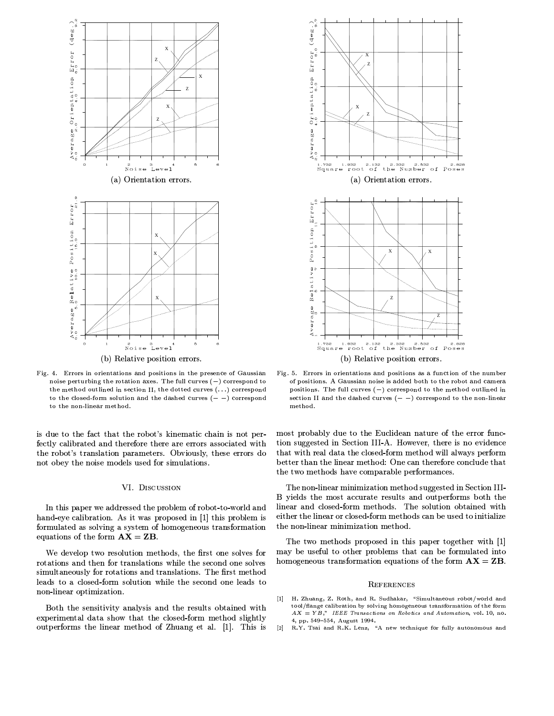

Fig. 4. Errors in orientations and positions in the presence of Gaussian noise perturbing the rotation axes. The full curves  $(-)$  correspond to the method outlined in section II, the dotted curves  $(\ldots)$  correspond to the closed-form solution and the dashed curves  $(- -)$  correspond to the non-linear method.

is due to the fact that the robot's kinematic chain is not perfectly calibrated and therefore there are errors associated with the robot's translation parameters. Obviously, these errors do not obey the noise models used for simulations.

#### VI. DISCUSSION

In this paper we addressed the problem of robot-to-world and hand-eye calibration. As it was proposed in [1] this problem is formulated as solving a system of homogeneous transformation equations of the form  $AX = ZB$ .

We develop two resolution methods, the first one solves for rotations and then for translations while the second one solves simultaneously for rotations and translations. The first method leads to a closed-form solution while the second one leads to non-linear optimization.

Both the sensitivity analysis and the results obtained with experimental data show that the closed-form method slightly outperforms the linear method of Zhuang et al. [1]. This is



Fig. 5. Errors in orientations and positions as a function of the number of positions. A Gaussian noise is added both to the robot and camera positions. The full curves  $(-)$  correspond to the method outlined in section II and the dashed curves  $(- -)$  correspond to the non-linear method.

most probably due to the Euclidean nature of the error function suggested in Section III-A. However, there is no evidence that with real data the closed-form method will always perform better than the linear method: One can therefore conclude that the two methods have comparable performances.

The non-linear minimization method suggested in Section III-B yields the most accurate results and outperforms both the linear and closed-form methods. The solution obtained with either the linear or closed-form methods can be used to initialize the non-linear minimization method.

The two methods proposed in this paper together with [1] may be useful to other problems that can be formulated into homogeneous transformation equations of the form  $AX = ZB$ .

#### REFERENCES

- [1] H. Zhuang, Z. Roth, and R. Sudhakar, "Simultaneous robot/world and tool/flange calibration by solving homogeneous transformation of the form  $AX = YB$ ," IEEE Transactions on Robotics and Automation, vol. 10, no. 4, pp. 549-554, August 1994.
- R.Y. Tsai and R.K. Lenz, "A new technique for fully autonomous and  $\lceil 2 \rceil$